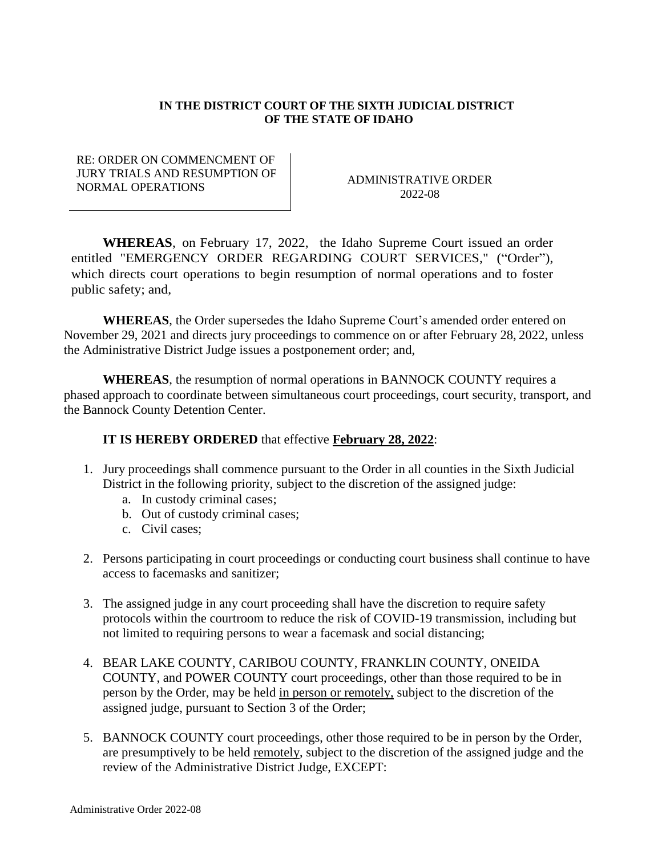## **IN THE DISTRICT COURT OF THE SIXTH JUDICIAL DISTRICT OF THE STATE OF IDAHO**

RE: ORDER ON COMMENCMENT OF JURY TRIALS AND RESUMPTION OF NORMAL OPERATIONS AND RESOLUTION OF ADMINISTRATIVE ORDER

2022-08

**WHEREAS**, on February 17, 2022, the Idaho Supreme Court issued an order entitled "EMERGENCY ORDER REGARDING COURT SERVICES," ("Order"), which directs court operations to begin resumption of normal operations and to foster public safety; and,

**WHEREAS**, the Order supersedes the Idaho Supreme Court's amended order entered on November 29, 2021 and directs jury proceedings to commence on or after February 28, 2022, unless the Administrative District Judge issues a postponement order; and,

**WHEREAS**, the resumption of normal operations in BANNOCK COUNTY requires a phased approach to coordinate between simultaneous court proceedings, court security, transport, and the Bannock County Detention Center.

## **IT IS HEREBY ORDERED** that effective **February 28, 2022**:

- 1. Jury proceedings shall commence pursuant to the Order in all counties in the Sixth Judicial District in the following priority, subject to the discretion of the assigned judge:
	- a. In custody criminal cases;
	- b. Out of custody criminal cases;
	- c. Civil cases;
- 2. Persons participating in court proceedings or conducting court business shall continue to have access to facemasks and sanitizer;
- 3. The assigned judge in any court proceeding shall have the discretion to require safety protocols within the courtroom to reduce the risk of COVID-19 transmission, including but not limited to requiring persons to wear a facemask and social distancing;
- 4. BEAR LAKE COUNTY, CARIBOU COUNTY, FRANKLIN COUNTY, ONEIDA COUNTY, and POWER COUNTY court proceedings, other than those required to be in person by the Order, may be held in person or remotely, subject to the discretion of the assigned judge, pursuant to Section 3 of the Order;
- 5. BANNOCK COUNTY court proceedings, other those required to be in person by the Order, are presumptively to be held remotely, subject to the discretion of the assigned judge and the review of the Administrative District Judge, EXCEPT: